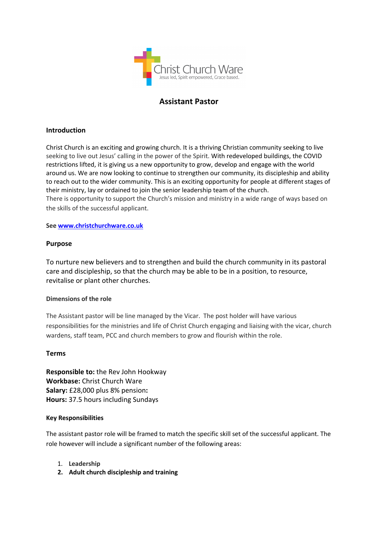

# **Assistant Pastor**

## **Introduction**

Christ Church is an exciting and growing church. It is a thriving Christian community seeking to live seeking to live out Jesus' calling in the power of the Spirit. With redeveloped buildings, the COVID restrictions lifted, it is giving us a new opportunity to grow, develop and engage with the world around us. We are now looking to continue to strengthen our community, its discipleship and ability to reach out to the wider community. This is an exciting opportunity for people at different stages of their ministry, lay or ordained to join the senior leadership team of the church.

There is opportunity to support the Church's mission and ministry in a wide range of ways based on the skills of the successful applicant.

**See www.christchurchware.co.uk**

## **Purpose**

To nurture new believers and to strengthen and build the church community in its pastoral care and discipleship, so that the church may be able to be in a position, to resource, revitalise or plant other churches.

## **Dimensions of the role**

The Assistant pastor will be line managed by the Vicar. The post holder will have various responsibilities for the ministries and life of Christ Church engaging and liaising with the vicar, church wardens, staff team, PCC and church members to grow and flourish within the role.

## **Terms**

**Responsible to:** the Rev John Hookway **Workbase:** Christ Church Ware **Salary:** £28,000 plus 8% pension**: Hours:** 37.5 hours including Sundays

## **Key Responsibilities**

The assistant pastor role will be framed to match the specific skill set of the successful applicant. The role however will include a significant number of the following areas:

- 1. **Leadership**
- **2. Adult church discipleship and training**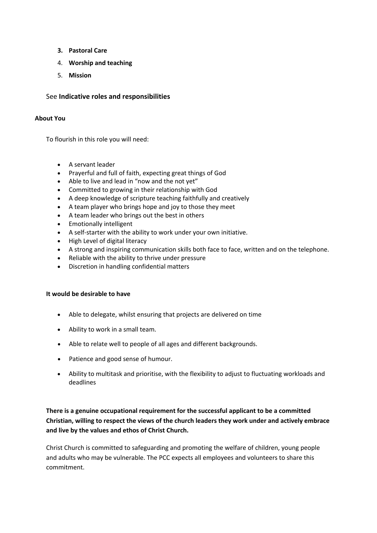- **3. Pastoral Care**
- 4. **Worship and teaching**
- 5. **Mission**

## See **Indicative roles and responsibilities**

## **About You**

To flourish in this role you will need:

- A servant leader
- Prayerful and full of faith, expecting great things of God
- Able to live and lead in "now and the not yet"
- Committed to growing in their relationship with God
- A deep knowledge of scripture teaching faithfully and creatively
- A team player who brings hope and joy to those they meet
- A team leader who brings out the best in others
- Emotionally intelligent
- A self-starter with the ability to work under your own initiative.
- High Level of digital literacy
- A strong and inspiring communication skills both face to face, written and on the telephone.
- Reliable with the ability to thrive under pressure
- Discretion in handling confidential matters

## **It would be desirable to have**

- Able to delegate, whilst ensuring that projects are delivered on time
- Ability to work in a small team.
- Able to relate well to people of all ages and different backgrounds.
- Patience and good sense of humour.
- Ability to multitask and prioritise, with the flexibility to adjust to fluctuating workloads and deadlines

## **There is a genuine occupational requirement for the successful applicant to be a committed Christian, willing to respect the views of the church leaders they work under and actively embrace and live by the values and ethos of Christ Church.**

Christ Church is committed to safeguarding and promoting the welfare of children, young people and adults who may be vulnerable. The PCC expects all employees and volunteers to share this commitment.